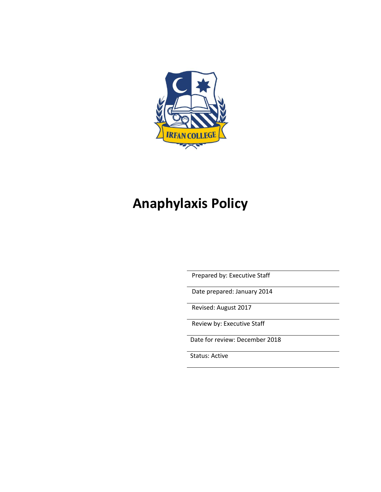

# **Anaphylaxis Policy**

Prepared by: Executive Staff

Date prepared: January 2014

Revised: August 2017

Review by: Executive Staff

Date for review: December 2018

Status: Active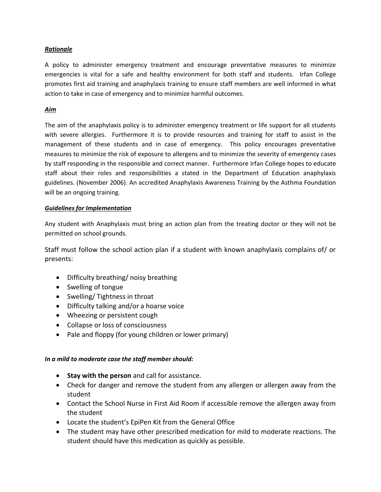## *Rationale*

A policy to administer emergency treatment and encourage preventative measures to minimize emergencies is vital for a safe and healthy environment for both staff and students. Irfan College promotes first aid training and anaphylaxis training to ensure staff members are well informed in what action to take in case of emergency and to minimize harmful outcomes.

## *Aim*

The aim of the anaphylaxis policy is to administer emergency treatment or life support for all students with severe allergies. Furthermore it is to provide resources and training for staff to assist in the management of these students and in case of emergency. This policy encourages preventative measures to minimize the risk of exposure to allergens and to minimize the severity of emergency cases by staff responding in the responsible and correct manner. Furthermore Irfan College hopes to educate staff about their roles and responsibilities a stated in the Department of Education anaphylaxis guidelines. (November 2006). An accredited Anaphylaxis Awareness Training by the Asthma Foundation will be an ongoing training.

# *Guidelines for Implementation*

Any student with Anaphylaxis must bring an action plan from the treating doctor or they will not be permitted on school grounds.

Staff must follow the school action plan if a student with known anaphylaxis complains of/ or presents:

- Difficulty breathing/ noisy breathing
- Swelling of tongue
- Swelling/Tightness in throat
- Difficulty talking and/or a hoarse voice
- Wheezing or persistent cough
- Collapse or loss of consciousness
- Pale and floppy (for young children or lower primary)

#### *In a mild to moderate case the staff member should:*

- **Stay with the person** and call for assistance.
- Check for danger and remove the student from any allergen or allergen away from the student
- Contact the School Nurse in First Aid Room if accessible remove the allergen away from the student
- Locate the student's EpiPen Kit from the General Office
- The student may have other prescribed medication for mild to moderate reactions. The student should have this medication as quickly as possible.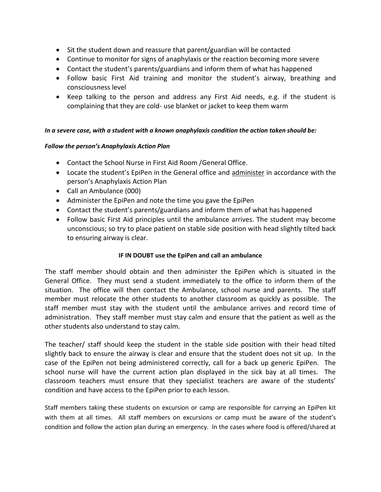- Sit the student down and reassure that parent/guardian will be contacted
- Continue to monitor for signs of anaphylaxis or the reaction becoming more severe
- Contact the student's parents/guardians and inform them of what has happened
- Follow basic First Aid training and monitor the student's airway, breathing and consciousness level
- Keep talking to the person and address any First Aid needs, e.g. if the student is complaining that they are cold- use blanket or jacket to keep them warm

## *In a severe case, with a student with a known anaphylaxis condition the action taken should be:*

## *Follow the person's Anaphylaxis Action Plan*

- Contact the School Nurse in First Aid Room /General Office.
- Locate the student's EpiPen in the General office and administer in accordance with the person's Anaphylaxis Action Plan
- Call an Ambulance (000)
- Administer the EpiPen and note the time you gave the EpiPen
- Contact the student's parents/guardians and inform them of what has happened
- Follow basic First Aid principles until the ambulance arrives. The student may become unconscious; so try to place patient on stable side position with head slightly tilted back to ensuring airway is clear.

# **IF IN DOUBT use the EpiPen and call an ambulance**

The staff member should obtain and then administer the EpiPen which is situated in the General Office. They must send a student immediately to the office to inform them of the situation. The office will then contact the Ambulance, school nurse and parents. The staff member must relocate the other students to another classroom as quickly as possible. The staff member must stay with the student until the ambulance arrives and record time of administration. They staff member must stay calm and ensure that the patient as well as the other students also understand to stay calm.

The teacher/ staff should keep the student in the stable side position with their head tilted slightly back to ensure the airway is clear and ensure that the student does not sit up. In the case of the EpiPen not being administered correctly, call for a back up generic EpiPen. The school nurse will have the current action plan displayed in the sick bay at all times. The classroom teachers must ensure that they specialist teachers are aware of the students' condition and have access to the EpiPen prior to each lesson.

Staff members taking these students on excursion or camp are responsible for carrying an EpiPen kit with them at all times. All staff members on excursions or camp must be aware of the student's condition and follow the action plan during an emergency. In the cases where food is offered/shared at